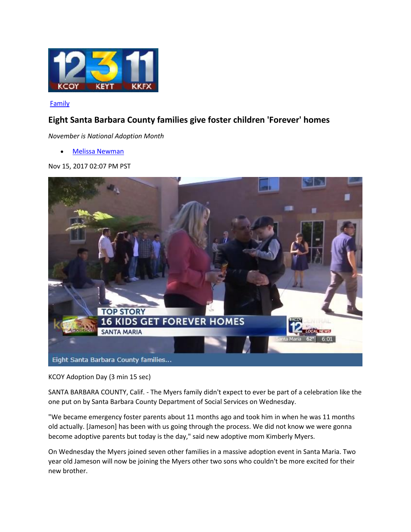

**[Family](http://www.keyt.com/lifestyle/family)** 

## **Eight Santa Barbara County families give foster children 'Forever' homes**

*November is National Adoption Month*

[Melissa Newman](http://www.keyt.com/meet-the-team/melissa-newman/79898705)

Nov 15, 2017 02:07 PM PST



KCOY Adoption Day (3 min 15 sec)

SANTA BARBARA COUNTY, Calif. - The Myers family didn't expect to ever be part of a celebration like the one put on by Santa Barbara County Department of Social Services on Wednesday.

"We became emergency foster parents about 11 months ago and took him in when he was 11 months old actually. [Jameson] has been with us going through the process. We did not know we were gonna become adoptive parents but today is the day," said new adoptive mom Kimberly Myers.

On Wednesday the Myers joined seven other families in a massive adoption event in Santa Maria. Two year old Jameson will now be joining the Myers other two sons who couldn't be more excited for their new brother.